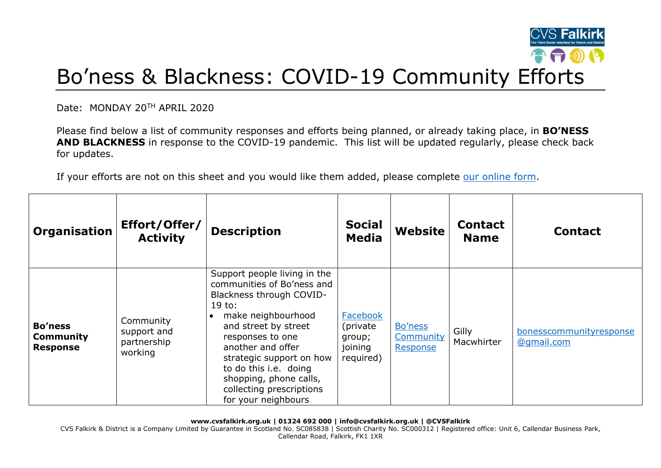

## Bo'ness & Blackness: COVID-19 Community Efforts

Date: MONDAY 20TH APRIL 2020

Please find below a list of community responses and efforts being planned, or already taking place, in **BO'NESS AND BLACKNESS** in response to the COVID-19 pandemic. This list will be updated regularly, please check back for updates.

If your efforts are not on this sheet and you would like them added, please complete [our online form.](https://forms.office.com/Pages/ResponsePage.aspx?id=6VEZaLCW4EefTnjqs1GaupRwm5MIeS1HoQIx_4VQsBJUODFFNjQ4S0YzN0tIODdPOUJWTTJFNkg2QS4u)

| Organisation                                   | Effort/Offer/<br><b>Activity</b>                   | <b>Description</b>                                                                                                                                                                                                                                                                                                        | <b>Social</b><br><b>Media</b>                          | <b>Website</b>                   | <b>Contact</b><br><b>Name</b> | <b>Contact</b>                        |
|------------------------------------------------|----------------------------------------------------|---------------------------------------------------------------------------------------------------------------------------------------------------------------------------------------------------------------------------------------------------------------------------------------------------------------------------|--------------------------------------------------------|----------------------------------|-------------------------------|---------------------------------------|
| <b>Bo'ness</b><br>Community<br><b>Response</b> | Community<br>support and<br>partnership<br>working | Support people living in the<br>communities of Bo'ness and<br>Blackness through COVID-<br>19 to:<br>make neighbourhood<br>and street by street<br>responses to one<br>another and offer<br>strategic support on how<br>to do this i.e. doing<br>shopping, phone calls,<br>collecting prescriptions<br>for your neighbours | Facebook<br>(private<br>group;<br>joining<br>required) | Bo'ness<br>Community<br>Response | Gilly<br>Macwhirter           | bonesscommunityresponse<br>@gmail.com |

**www.cvsfalkirk.org.uk | 01324 692 000 | info@cvsfalkirk.org.uk | @CVSFalkirk**

CVS Falkirk & District is a Company Limited by Guarantee in Scotland No. SC085838 | Scottish Charity No. SC000312 | Registered office: Unit 6, Callendar Business Park, Callendar Road, Falkirk, FK1 1XR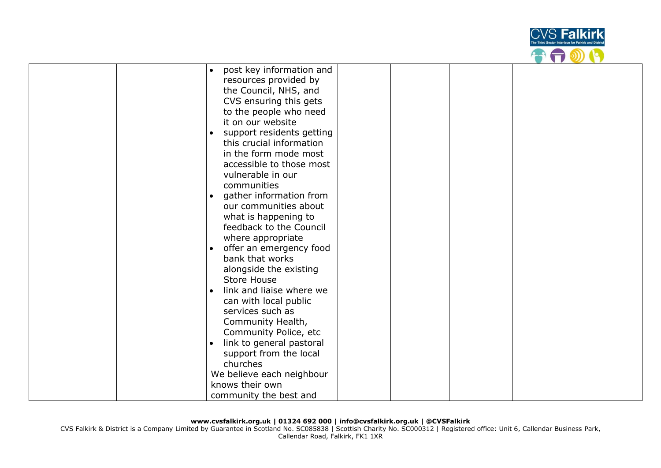

| $\bullet$ | post key information and                         |  |  |
|-----------|--------------------------------------------------|--|--|
|           | resources provided by                            |  |  |
|           | the Council, NHS, and                            |  |  |
|           | CVS ensuring this gets                           |  |  |
|           | to the people who need                           |  |  |
|           | it on our website                                |  |  |
| $\bullet$ | support residents getting                        |  |  |
|           | this crucial information                         |  |  |
|           | in the form mode most                            |  |  |
|           | accessible to those most                         |  |  |
|           | vulnerable in our                                |  |  |
|           | communities                                      |  |  |
|           |                                                  |  |  |
| $\bullet$ | gather information from<br>our communities about |  |  |
|           |                                                  |  |  |
|           | what is happening to                             |  |  |
|           | feedback to the Council                          |  |  |
|           | where appropriate                                |  |  |
| $\bullet$ | offer an emergency food                          |  |  |
|           | bank that works                                  |  |  |
|           | alongside the existing                           |  |  |
|           | <b>Store House</b>                               |  |  |
| $\bullet$ | link and liaise where we                         |  |  |
|           | can with local public                            |  |  |
|           | services such as                                 |  |  |
|           | Community Health,                                |  |  |
|           | Community Police, etc                            |  |  |
| $\bullet$ | link to general pastoral                         |  |  |
|           | support from the local                           |  |  |
|           | churches                                         |  |  |
|           | We believe each neighbour                        |  |  |
|           | knows their own                                  |  |  |
|           | community the best and                           |  |  |

CVS Falkirk & District is a Company Limited by Guarantee in Scotland No. SC085838 | Scottish Charity No. SC000312 | Registered office: Unit 6, Callendar Business Park, Callendar Road, Falkirk, FK1 1XR